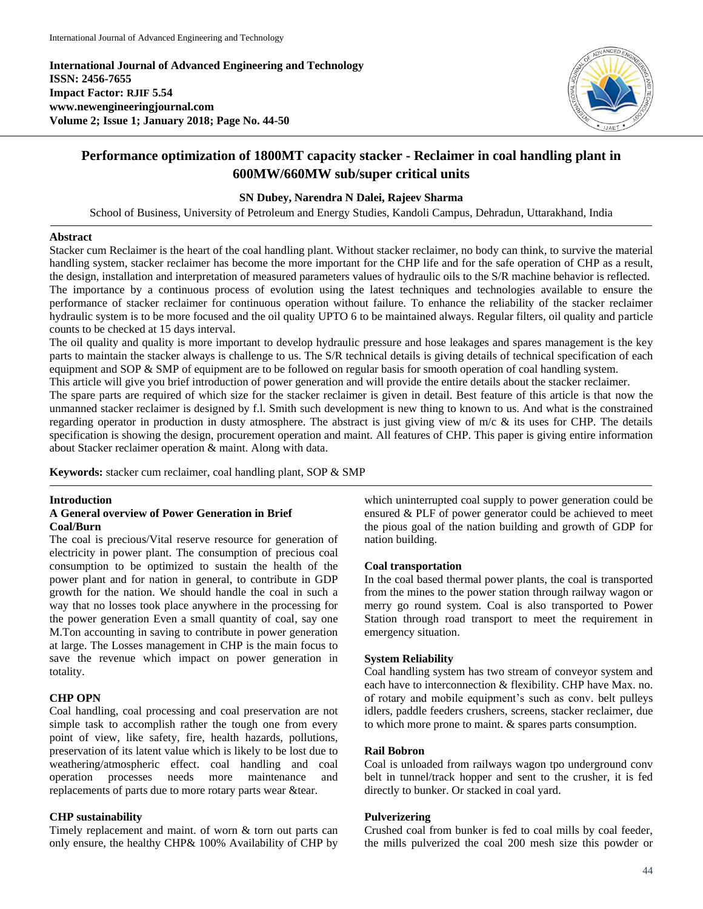**International Journal of Advanced Engineering and Technology ISSN: 2456-7655 Impact Factor: RJIF 5.54 www.newengineeringjournal.com Volume 2; Issue 1; January 2018; Page No. 44-50**



# **Performance optimization of 1800MT capacity stacker - Reclaimer in coal handling plant in 600MW/660MW sub/super critical units**

### **SN Dubey, Narendra N Dalei, Rajeev Sharma**

School of Business, University of Petroleum and Energy Studies, Kandoli Campus, Dehradun, Uttarakhand, India

#### **Abstract**

Stacker cum Reclaimer is the heart of the coal handling plant. Without stacker reclaimer, no body can think, to survive the material handling system, stacker reclaimer has become the more important for the CHP life and for the safe operation of CHP as a result, the design, installation and interpretation of measured parameters values of hydraulic oils to the S/R machine behavior is reflected. The importance by a continuous process of evolution using the latest techniques and technologies available to ensure the performance of stacker reclaimer for continuous operation without failure. To enhance the reliability of the stacker reclaimer hydraulic system is to be more focused and the oil quality UPTO 6 to be maintained always. Regular filters, oil quality and particle counts to be checked at 15 days interval.

The oil quality and quality is more important to develop hydraulic pressure and hose leakages and spares management is the key parts to maintain the stacker always is challenge to us. The S/R technical details is giving details of technical specification of each equipment and SOP  $&$  SMP of equipment are to be followed on regular basis for smooth operation of coal handling system.

This article will give you brief introduction of power generation and will provide the entire details about the stacker reclaimer.

The spare parts are required of which size for the stacker reclaimer is given in detail. Best feature of this article is that now the unmanned stacker reclaimer is designed by f.l. Smith such development is new thing to known to us. And what is the constrained regarding operator in production in dusty atmosphere. The abstract is just giving view of m/c & its uses for CHP. The details specification is showing the design, procurement operation and maint. All features of CHP. This paper is giving entire information about Stacker reclaimer operation & maint. Along with data.

**Keywords:** stacker cum reclaimer, coal handling plant, SOP & SMP

#### **Introduction**

#### **A General overview of Power Generation in Brief Coal/Burn**

The coal is precious/Vital reserve resource for generation of electricity in power plant. The consumption of precious coal consumption to be optimized to sustain the health of the power plant and for nation in general, to contribute in GDP growth for the nation. We should handle the coal in such a way that no losses took place anywhere in the processing for the power generation Even a small quantity of coal, say one M.Ton accounting in saving to contribute in power generation at large. The Losses management in CHP is the main focus to save the revenue which impact on power generation in totality.

#### **CHP OPN**

Coal handling, coal processing and coal preservation are not simple task to accomplish rather the tough one from every point of view, like safety, fire, health hazards, pollutions, preservation of its latent value which is likely to be lost due to weathering/atmospheric effect. coal handling and coal operation processes needs more maintenance and replacements of parts due to more rotary parts wear &tear.

#### **CHP sustainability**

Timely replacement and maint. of worn & torn out parts can only ensure, the healthy CHP& 100% Availability of CHP by which uninterrupted coal supply to power generation could be ensured & PLF of power generator could be achieved to meet the pious goal of the nation building and growth of GDP for nation building.

#### **Coal transportation**

In the coal based thermal power plants, the coal is transported from the mines to the power station through railway wagon or merry go round system. Coal is also transported to Power Station through road transport to meet the requirement in emergency situation.

#### **System Reliability**

Coal handling system has two stream of conveyor system and each have to interconnection & flexibility. CHP have Max. no. of rotary and mobile equipment's such as conv. belt pulleys idlers, paddle feeders crushers, screens, stacker reclaimer, due to which more prone to maint. & spares parts consumption.

#### **Rail Bobron**

Coal is unloaded from railways wagon tpo underground conv belt in tunnel/track hopper and sent to the crusher, it is fed directly to bunker. Or stacked in coal yard.

#### **Pulverizering**

Crushed coal from bunker is fed to coal mills by coal feeder, the mills pulverized the coal 200 mesh size this powder or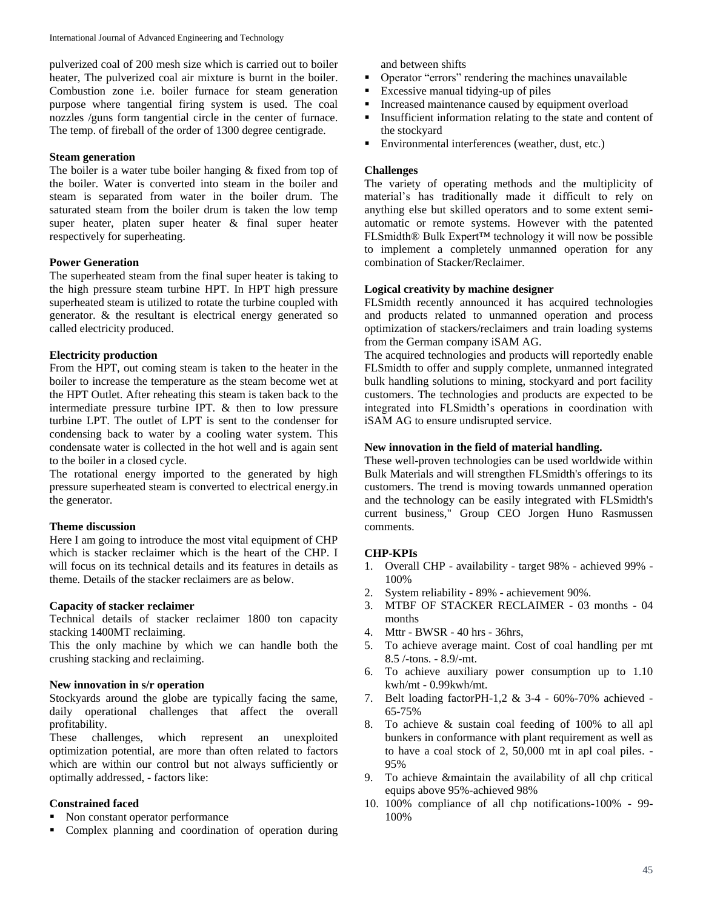pulverized coal of 200 mesh size which is carried out to boiler heater, The pulverized coal air mixture is burnt in the boiler. Combustion zone i.e. boiler furnace for steam generation purpose where tangential firing system is used. The coal nozzles /guns form tangential circle in the center of furnace. The temp. of fireball of the order of 1300 degree centigrade.

#### **Steam generation**

The boiler is a water tube boiler hanging & fixed from top of the boiler. Water is converted into steam in the boiler and steam is separated from water in the boiler drum. The saturated steam from the boiler drum is taken the low temp super heater, platen super heater & final super heater respectively for superheating.

#### **Power Generation**

The superheated steam from the final super heater is taking to the high pressure steam turbine HPT. In HPT high pressure superheated steam is utilized to rotate the turbine coupled with generator. & the resultant is electrical energy generated so called electricity produced.

#### **Electricity production**

From the HPT, out coming steam is taken to the heater in the boiler to increase the temperature as the steam become wet at the HPT Outlet. After reheating this steam is taken back to the intermediate pressure turbine IPT. & then to low pressure turbine LPT. The outlet of LPT is sent to the condenser for condensing back to water by a cooling water system. This condensate water is collected in the hot well and is again sent to the boiler in a closed cycle.

The rotational energy imported to the generated by high pressure superheated steam is converted to electrical energy.in the generator.

#### **Theme discussion**

Here I am going to introduce the most vital equipment of CHP which is stacker reclaimer which is the heart of the CHP. I will focus on its technical details and its features in details as theme. Details of the stacker reclaimers are as below.

#### **Capacity of stacker reclaimer**

Technical details of stacker reclaimer 1800 ton capacity stacking 1400MT reclaiming.

This the only machine by which we can handle both the crushing stacking and reclaiming.

#### **New innovation in s/r operation**

Stockyards around the globe are typically facing the same, daily operational challenges that affect the overall profitability.

These challenges, which represent an unexploited optimization potential, are more than often related to factors which are within our control but not always sufficiently or optimally addressed, - factors like:

### **Constrained faced**

- Non constant operator performance
- Complex planning and coordination of operation during

and between shifts

- Operator "errors" rendering the machines unavailable
- Excessive manual tidying-up of piles
- **Increased maintenance caused by equipment overload**
- Insufficient information relating to the state and content of the stockyard
- Environmental interferences (weather, dust, etc.)

### **Challenges**

The variety of operating methods and the multiplicity of material's has traditionally made it difficult to rely on anything else but skilled operators and to some extent semiautomatic or remote systems. However with the patented FLSmidth® Bulk Expert™ technology it will now be possible to implement a completely unmanned operation for any combination of Stacker/Reclaimer.

#### **Logical creativity by machine designer**

FLSmidth recently announced it has acquired technologies and products related to unmanned operation and process optimization of stackers/reclaimers and train loading systems from the German company iSAM AG.

The acquired technologies and products will reportedly enable FLSmidth to offer and supply complete, unmanned integrated bulk handling solutions to mining, stockyard and port facility customers. The technologies and products are expected to be integrated into FLSmidth's operations in coordination with iSAM AG to ensure undisrupted service.

#### **New innovation in the field of material handling.**

These well-proven technologies can be used worldwide within Bulk Materials and will strengthen FLSmidth's offerings to its customers. The trend is moving towards unmanned operation and the technology can be easily integrated with FLSmidth's current business," Group CEO Jorgen Huno Rasmussen comments.

### **CHP-KPIs**

- 1. Overall CHP availability target 98% achieved 99% 100%
- 2. System reliability 89% achievement 90%.
- 3. MTBF OF STACKER RECLAIMER 03 months 04 months
- 4. Mttr BWSR 40 hrs 36hrs,
- 5. To achieve average maint. Cost of coal handling per mt 8.5 /-tons. - 8.9/-mt.
- 6. To achieve auxiliary power consumption up to 1.10 kwh/mt - 0.99kwh/mt.
- 7. Belt loading factorPH-1,2 & 3-4 60%-70% achieved 65-75%
- 8. To achieve & sustain coal feeding of 100% to all apl bunkers in conformance with plant requirement as well as to have a coal stock of 2, 50,000 mt in apl coal piles. - 95%
- 9. To achieve &maintain the availability of all chp critical equips above 95%-achieved 98%
- 10. 100% compliance of all chp notifications-100% 99- 100%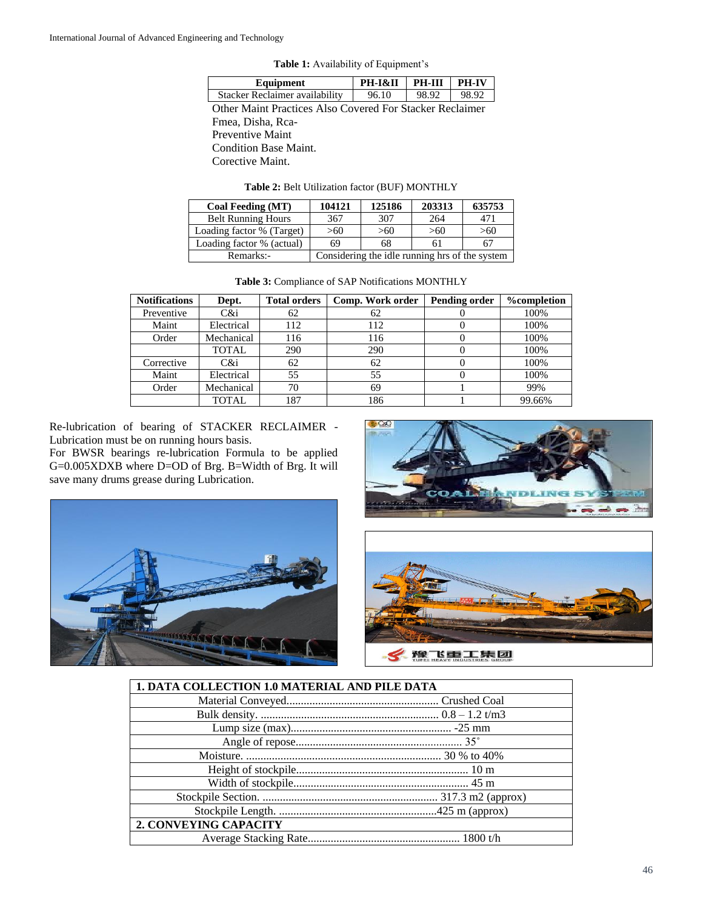|  | Table 1: Availability of Equipment's |  |  |
|--|--------------------------------------|--|--|
|--|--------------------------------------|--|--|

| Equipment                                                | <b>PH-I&amp;II</b> | <b>PH-III</b> | <b>PH-IV</b> |  |
|----------------------------------------------------------|--------------------|---------------|--------------|--|
| Stacker Reclaimer availability                           | 96.10              | 98.92         | 98.92        |  |
| Other Maint Practices Also Covered For Stacker Reclaimer |                    |               |              |  |
| Fmea, Disha, Rca-                                        |                    |               |              |  |
| Preventive Maint                                         |                    |               |              |  |
| Condition Base Maint.                                    |                    |               |              |  |
| Corective Maint.                                         |                    |               |              |  |

**Table 2:** Belt Utilization factor (BUF) MONTHLY

| Coal Feeding (MT)         | 104121 | 125186                                         | 203313 | 635753 |
|---------------------------|--------|------------------------------------------------|--------|--------|
| <b>Belt Running Hours</b> | 367    | 307                                            | 264    | 471    |
| Loading factor % (Target) | > 60   | >60                                            | >60    | >60    |
| Loading factor % (actual) | 69     | 68                                             | 61     |        |
| Remarks:-                 |        | Considering the idle running hrs of the system |        |        |

|  | <b>Table 3: Compliance of SAP Notifications MONTHLY</b> |  |
|--|---------------------------------------------------------|--|
|  |                                                         |  |

| <b>Notifications</b> | Dept.        | <b>Total orders</b> | Comp. Work order | <b>Pending order</b> | <b>%</b> completion |
|----------------------|--------------|---------------------|------------------|----------------------|---------------------|
| Preventive           | C&i          | 62                  | 62               |                      | 100%                |
| Maint                | Electrical   | 112                 | 112              |                      | 100%                |
| Order                | Mechanical   | 116                 | 116              | O                    | 100%                |
|                      | <b>TOTAL</b> | 290                 | 290              |                      | 100%                |
| Corrective           | C&i          | 62                  | 62               | O                    | 100%                |
| Maint                | Electrical   | 55                  | 55               |                      | 100%                |
| Order                | Mechanical   | 70                  | 69               |                      | 99%                 |
|                      | TOTAL.       | 187                 | 186              |                      | 99.66%              |

Re-lubrication of bearing of STACKER RECLAIMER - Lubrication must be on running hours basis.

For BWSR bearings re-lubrication Formula to be applied G=0.005XDXB where D=OD of Brg. B=Width of Brg. It will save many drums grease during Lubrication.







| <b>1. DATA COLLECTION 1.0 MATERIAL AND PILE DATA</b> |  |
|------------------------------------------------------|--|
|                                                      |  |
|                                                      |  |
|                                                      |  |
|                                                      |  |
|                                                      |  |
|                                                      |  |
|                                                      |  |
|                                                      |  |
|                                                      |  |
| 2. CONVEYING CAPACITY                                |  |
|                                                      |  |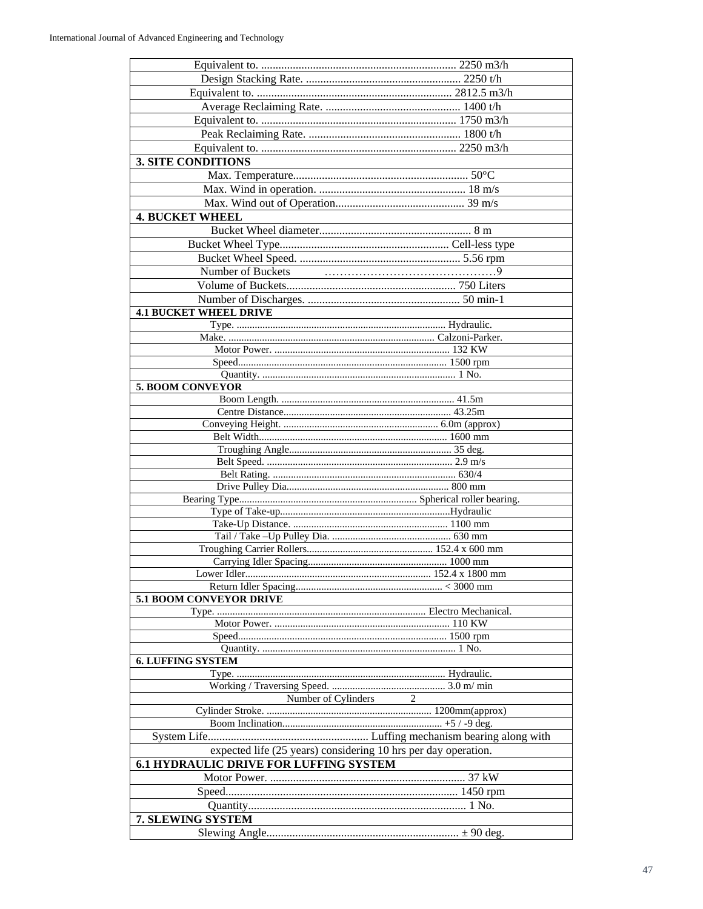| <b>3. SITE CONDITIONS</b>                                      |                |  |
|----------------------------------------------------------------|----------------|--|
|                                                                |                |  |
|                                                                |                |  |
|                                                                |                |  |
|                                                                |                |  |
| <b>4. BUCKET WHEEL</b>                                         |                |  |
|                                                                |                |  |
|                                                                |                |  |
|                                                                |                |  |
|                                                                |                |  |
|                                                                |                |  |
|                                                                |                |  |
| <b>4.1 BUCKET WHEEL DRIVE</b>                                  |                |  |
|                                                                |                |  |
|                                                                |                |  |
|                                                                |                |  |
|                                                                |                |  |
|                                                                |                |  |
| 5. BOOM CONVEYOR                                               |                |  |
|                                                                |                |  |
|                                                                |                |  |
|                                                                |                |  |
|                                                                |                |  |
|                                                                |                |  |
|                                                                |                |  |
|                                                                |                |  |
|                                                                |                |  |
|                                                                |                |  |
|                                                                |                |  |
|                                                                |                |  |
|                                                                |                |  |
|                                                                |                |  |
|                                                                |                |  |
|                                                                |                |  |
|                                                                |                |  |
| <b>5.1 BOOM CONVEYOR DRIVE</b>                                 |                |  |
|                                                                |                |  |
|                                                                |                |  |
|                                                                |                |  |
|                                                                |                |  |
| <b>6. LUFFING SYSTEM</b>                                       |                |  |
|                                                                |                |  |
|                                                                |                |  |
| Number of Cylinders                                            | $\overline{2}$ |  |
|                                                                |                |  |
|                                                                |                |  |
|                                                                |                |  |
| expected life (25 years) considering 10 hrs per day operation. |                |  |
| <b>6.1 HYDRAULIC DRIVE FOR LUFFING SYSTEM</b>                  |                |  |
|                                                                |                |  |
|                                                                |                |  |
|                                                                |                |  |
| 7. SLEWING SYSTEM                                              |                |  |
|                                                                |                |  |
|                                                                |                |  |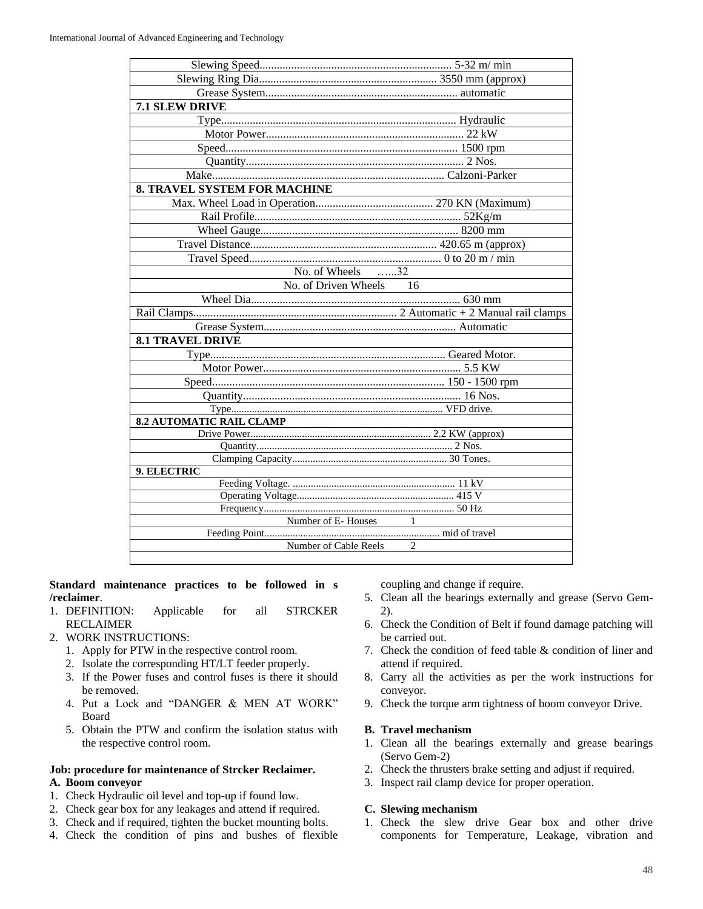| 7.1 SLEW DRIVE<br><b>8. TRAVEL SYSTEM FOR MACHINE</b><br>$\overline{\text{No.}}$ of Wheels $\dots 32$<br>No. of Driven Wheels 16<br><b>8.1 TRAVEL DRIVE</b><br><b>8.2 AUTOMATIC RAIL CLAMP</b><br>9. ELECTRIC |  |
|---------------------------------------------------------------------------------------------------------------------------------------------------------------------------------------------------------------|--|
|                                                                                                                                                                                                               |  |
|                                                                                                                                                                                                               |  |
|                                                                                                                                                                                                               |  |
|                                                                                                                                                                                                               |  |
|                                                                                                                                                                                                               |  |
|                                                                                                                                                                                                               |  |
|                                                                                                                                                                                                               |  |
|                                                                                                                                                                                                               |  |
|                                                                                                                                                                                                               |  |
|                                                                                                                                                                                                               |  |
|                                                                                                                                                                                                               |  |
|                                                                                                                                                                                                               |  |
|                                                                                                                                                                                                               |  |
|                                                                                                                                                                                                               |  |
|                                                                                                                                                                                                               |  |
|                                                                                                                                                                                                               |  |
|                                                                                                                                                                                                               |  |
|                                                                                                                                                                                                               |  |
|                                                                                                                                                                                                               |  |
|                                                                                                                                                                                                               |  |
|                                                                                                                                                                                                               |  |
|                                                                                                                                                                                                               |  |
|                                                                                                                                                                                                               |  |
|                                                                                                                                                                                                               |  |
|                                                                                                                                                                                                               |  |
|                                                                                                                                                                                                               |  |
|                                                                                                                                                                                                               |  |
|                                                                                                                                                                                                               |  |
|                                                                                                                                                                                                               |  |
|                                                                                                                                                                                                               |  |
|                                                                                                                                                                                                               |  |
|                                                                                                                                                                                                               |  |
| Number of E-Houses<br>$\mathbf{1}$                                                                                                                                                                            |  |
|                                                                                                                                                                                                               |  |
| Number of Cable Reels<br>2                                                                                                                                                                                    |  |

**Standard maintenance practices to be followed in s /reclaimer**.

- 1. DEFINITION: Applicable for all STRCKER RECLAIMER
- 2. WORK INSTRUCTIONS:
	- 1. Apply for PTW in the respective control room.
	- 2. Isolate the corresponding HT/LT feeder properly.
	- 3. If the Power fuses and control fuses is there it should be removed.
	- 4. Put a Lock and "DANGER & MEN AT WORK" Board
	- 5. Obtain the PTW and confirm the isolation status with the respective control room.

#### **Job: procedure for maintenance of Strcker Reclaimer.**

### **A. Boom conveyor**

- 1. Check Hydraulic oil level and top-up if found low.
- 2. Check gear box for any leakages and attend if required.
- 3. Check and if required, tighten the bucket mounting bolts.
- 4. Check the condition of pins and bushes of flexible

coupling and change if require.

- 5. Clean all the bearings externally and grease (Servo Gem-2).
- 6. Check the Condition of Belt if found damage patching will be carried out.
- 7. Check the condition of feed table & condition of liner and attend if required.
- 8. Carry all the activities as per the work instructions for conveyor.
- 9. Check the torque arm tightness of boom conveyor Drive.

#### **B. Travel mechanism**

- 1. Clean all the bearings externally and grease bearings (Servo Gem-2)
- 2. Check the thrusters brake setting and adjust if required.
- 3. Inspect rail clamp device for proper operation.

#### **C. Slewing mechanism**

1. Check the slew drive Gear box and other drive components for Temperature, Leakage, vibration and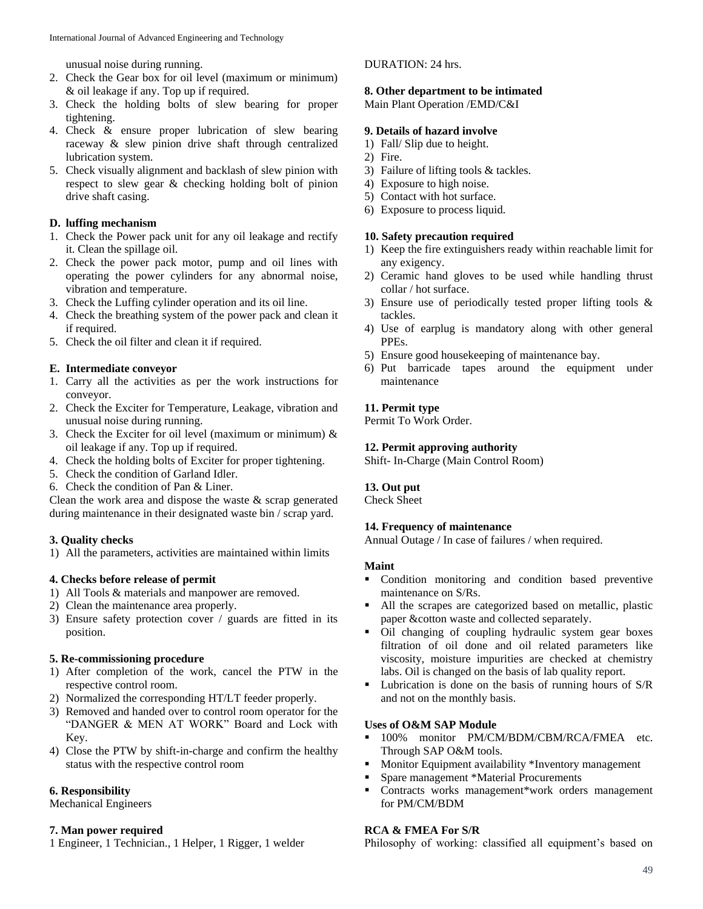unusual noise during running.

- 2. Check the Gear box for oil level (maximum or minimum) & oil leakage if any. Top up if required.
- 3. Check the holding bolts of slew bearing for proper tightening.
- 4. Check & ensure proper lubrication of slew bearing raceway & slew pinion drive shaft through centralized lubrication system.
- 5. Check visually alignment and backlash of slew pinion with respect to slew gear & checking holding bolt of pinion drive shaft casing.

### **D. luffing mechanism**

- 1. Check the Power pack unit for any oil leakage and rectify it. Clean the spillage oil.
- 2. Check the power pack motor, pump and oil lines with operating the power cylinders for any abnormal noise, vibration and temperature.
- 3. Check the Luffing cylinder operation and its oil line.
- 4. Check the breathing system of the power pack and clean it if required.
- 5. Check the oil filter and clean it if required.

### **E. Intermediate conveyor**

- 1. Carry all the activities as per the work instructions for conveyor.
- 2. Check the Exciter for Temperature, Leakage, vibration and unusual noise during running.
- 3. Check the Exciter for oil level (maximum or minimum)  $\&$ oil leakage if any. Top up if required.
- 4. Check the holding bolts of Exciter for proper tightening.
- 5. Check the condition of Garland Idler.
- 6. Check the condition of Pan & Liner.

Clean the work area and dispose the waste & scrap generated during maintenance in their designated waste bin / scrap yard.

# **3. Quality checks**

1) All the parameters, activities are maintained within limits

### **4. Checks before release of permit**

- 1) All Tools & materials and manpower are removed.
- 2) Clean the maintenance area properly.
- 3) Ensure safety protection cover / guards are fitted in its position.

### **5. Re-commissioning procedure**

- 1) After completion of the work, cancel the PTW in the respective control room.
- 2) Normalized the corresponding HT/LT feeder properly.
- 3) Removed and handed over to control room operator for the "DANGER & MEN AT WORK" Board and Lock with Key.
- 4) Close the PTW by shift-in-charge and confirm the healthy status with the respective control room

# **6. Responsibility**

Mechanical Engineers

### **7. Man power required**

1 Engineer, 1 Technician., 1 Helper, 1 Rigger, 1 welder

## DURATION: 24 hrs.

## **8. Other department to be intimated**

Main Plant Operation /EMD/C&I

### **9. Details of hazard involve**

- 1) Fall/ Slip due to height.
- 2) Fire.
- 3) Failure of lifting tools & tackles.
- 4) Exposure to high noise.
- 5) Contact with hot surface.
- 6) Exposure to process liquid.

### **10. Safety precaution required**

- 1) Keep the fire extinguishers ready within reachable limit for any exigency.
- 2) Ceramic hand gloves to be used while handling thrust collar / hot surface.
- 3) Ensure use of periodically tested proper lifting tools & tackles.
- 4) Use of earplug is mandatory along with other general PPEs.
- 5) Ensure good housekeeping of maintenance bay.
- 6) Put barricade tapes around the equipment under maintenance

## **11. Permit type**

Permit To Work Order.

### **12. Permit approving authority**

Shift- In-Charge (Main Control Room)

### **13. Out put**

Check Sheet

### **14. Frequency of maintenance**

Annual Outage / In case of failures / when required.

### **Maint**

- Condition monitoring and condition based preventive maintenance on S/Rs.
- All the scrapes are categorized based on metallic, plastic paper &cotton waste and collected separately.
- Oil changing of coupling hydraulic system gear boxes filtration of oil done and oil related parameters like viscosity, moisture impurities are checked at chemistry labs. Oil is changed on the basis of lab quality report.
- Lubrication is done on the basis of running hours of S/R and not on the monthly basis.

### **Uses of O&M SAP Module**

- 100% monitor PM/CM/BDM/CBM/RCA/FMEA etc. Through SAP O&M tools.
- Monitor Equipment availability \*Inventory management
- Spare management \*Material Procurements
- Contracts works management\*work orders management for PM/CM/BDM

# **RCA & FMEA For S/R**

Philosophy of working: classified all equipment's based on